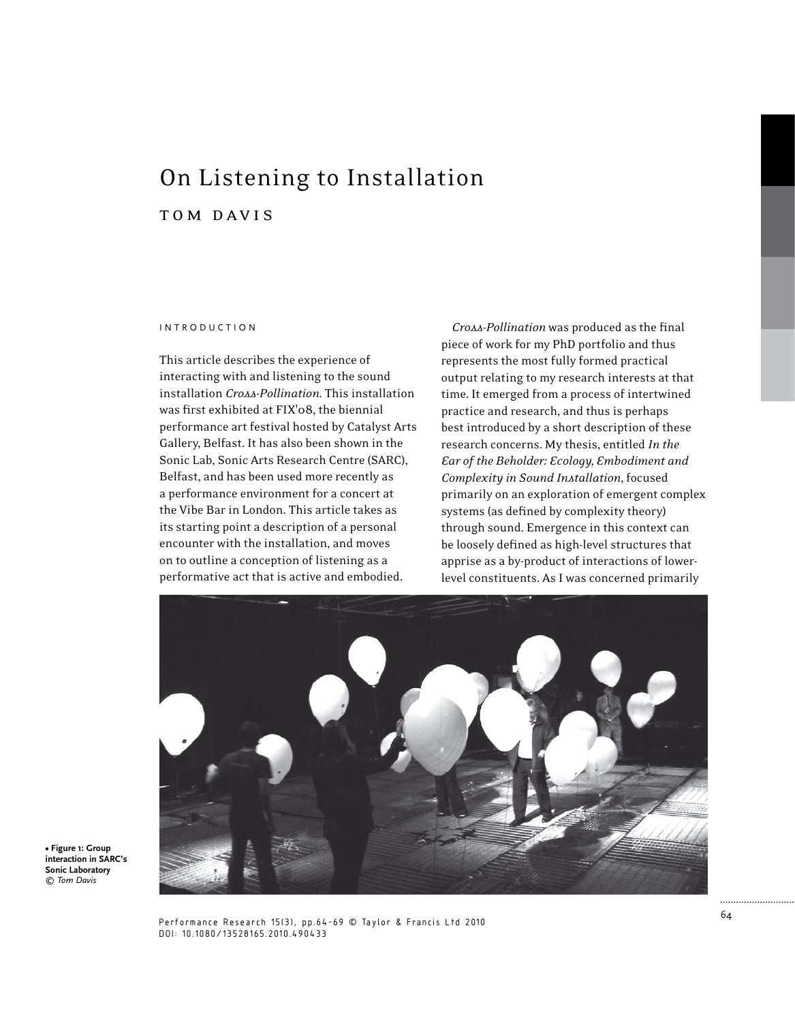# On Listening to Installation tom davis

#### i n t r o d u c t i o n

This article describes the experience of interacting with and listening to the sound installation *Cross-Pollination*. This installation was first exhibited at FIX'08, the biennial performance art festival hosted by Catalyst Arts Gallery, Belfast. It has also been shown in the Sonic Lab, Sonic Arts Research Centre (SARC), Belfast, and has been used more recently as a performance environment for a concert at the Vibe Bar in London. This article takes as its starting point a description of a personal encounter with the installation, and moves on to outline a conception of listening as a performative act that is active and embodied.

*Cross-Pollination* was produced as the final piece of work for my PhD portfolio and thus represents the most fully formed practical output relating to my research interests at that time. It emerged from a process of intertwined practice and research, and thus is perhaps best introduced by a short description of these research concerns. My thesis, entitled *In the Ear of the Beholder: Ecology, Embodiment and Complexity in Sound Installation*, focused primarily on an exploration of emergent complex systems (as defined by complexity theory) through sound. Emergence in this context can be loosely defined as high-level structures that apprise as a by-product of interactions of lowerlevel constituents. As I was concerned primarily



**• Figure 1: Group interaction in SARC's Sonic Laboratory** *© Tom Davis*

> Performance Research 15(3), pp.64-69 © Taylor & Francis Ltd 2010<br>Performance Research 15(3), pp.64-69 © Taylor & Francis Ltd 2010 DOI: 10.1080/13528165.2010.490433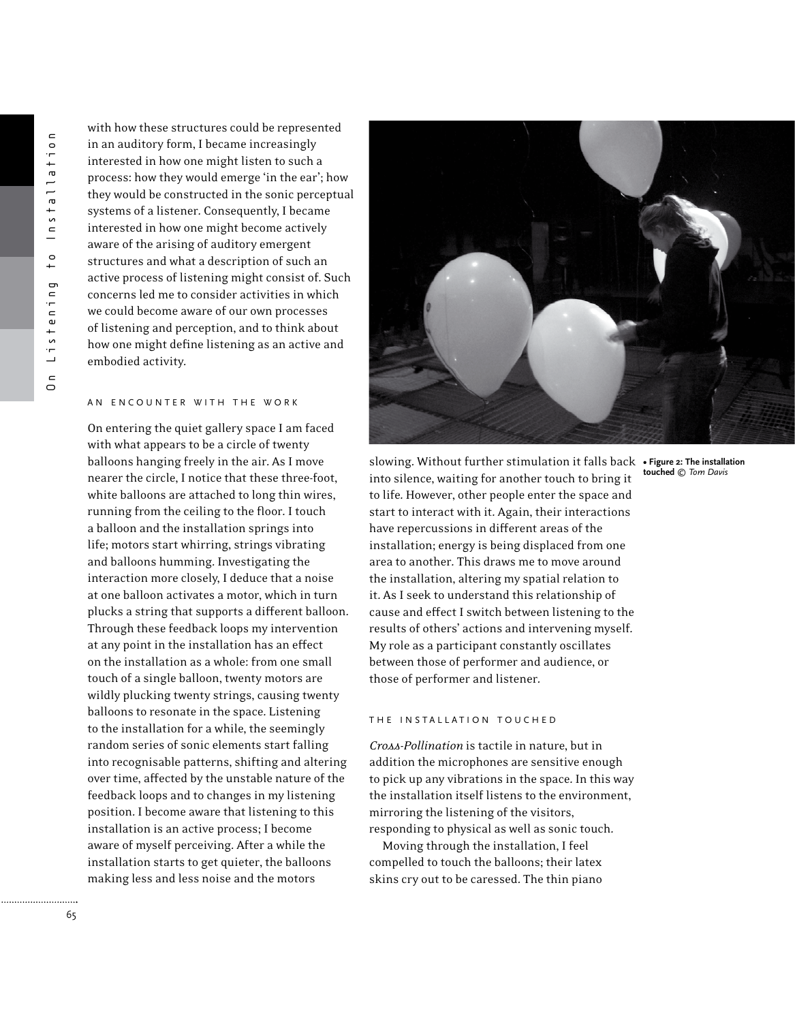with how these structures could be represented in an auditory form, I became increasingly interested in how one might listen to such a process: how they would emerge 'in the ear'; how they would be constructed in the sonic perceptual systems of a listener. Consequently, I became interested in how one might become actively aware of the arising of auditory emergent structures and what a description of such an active process of listening might consist of. Such concerns led me to consider activities in which we could become aware of our own processes of listening and perception, and to think about how one might define listening as an active and embodied activity.

# AN ENCOUNTER WITH THE WORK

On entering the quiet gallery space I am faced with what appears to be a circle of twenty balloons hanging freely in the air. As I move nearer the circle, I notice that these three-foot, white balloons are attached to long thin wires, running from the ceiling to the floor. I touch a balloon and the installation springs into life; motors start whirring, strings vibrating and balloons humming. Investigating the interaction more closely, I deduce that a noise at one balloon activates a motor, which in turn plucks a string that supports a different balloon. Through these feedback loops my intervention at any point in the installation has an effect on the installation as a whole: from one small touch of a single balloon, twenty motors are wildly plucking twenty strings, causing twenty balloons to resonate in the space. Listening to the installation for a while, the seemingly random series of sonic elements start falling into recognisable patterns, shifting and altering over time, affected by the unstable nature of the feedback loops and to changes in my listening position. I become aware that listening to this installation is an active process; I become aware of myself perceiving. After a while the installation starts to get quieter, the balloons making less and less noise and the motors



slowing. Without further stimulation it falls back **• Figure 2: The installation**  into silence, waiting for another touch to bring it to life. However, other people enter the space and start to interact with it. Again, their interactions have repercussions in different areas of the installation; energy is being displaced from one area to another. This draws me to move around the installation, altering my spatial relation to it. As I seek to understand this relationship of cause and effect I switch between listening to the results of others' actions and intervening myself. My role as a participant constantly oscillates between those of performer and audience, or those of performer and listener.

#### THE INSTALLATION TOUCHED

*Cross-Pollination* is tactile in nature, but in addition the microphones are sensitive enough to pick up any vibrations in the space. In this way the installation itself listens to the environment, mirroring the listening of the visitors, responding to physical as well as sonic touch.

 Moving through the installation, I feel compelled to touch the balloons; their latex skins cry out to be caressed. The thin piano **touched** *© Tom Davis*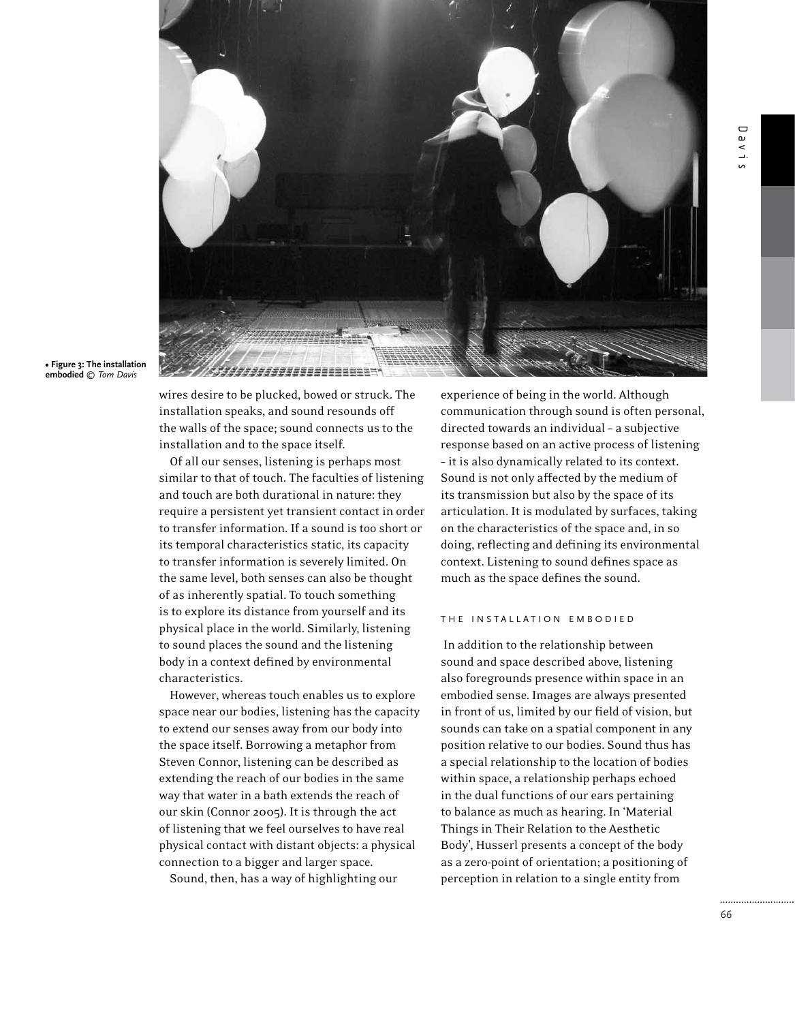

**• Figure 3: The installation embodied** *© Tom Davis*

wires desire to be plucked, bowed or struck. The installation speaks, and sound resounds off the walls of the space; sound connects us to the installation and to the space itself.

Of all our senses, listening is perhaps most similar to that of touch. The faculties of listening and touch are both durational in nature: they require a persistent yet transient contact in order to transfer information. If a sound is too short or its temporal characteristics static, its capacity to transfer information is severely limited. On the same level, both senses can also be thought of as inherently spatial. To touch something is to explore its distance from yourself and its physical place in the world. Similarly, listening to sound places the sound and the listening body in a context defined by environmental characteristics.

However, whereas touch enables us to explore space near our bodies, listening has the capacity to extend our senses away from our body into the space itself. Borrowing a metaphor from Steven Connor, listening can be described as extending the reach of our bodies in the same way that water in a bath extends the reach of our skin (Connor 2005). It is through the act of listening that we feel ourselves to have real physical contact with distant objects: a physical connection to a bigger and larger space.

Sound, then, has a way of highlighting our

experience of being in the world. Although communication through sound is often personal, directed towards an individual – a subjective response based on an active process of listening – it is also dynamically related to its context. Sound is not only affected by the medium of its transmission but also by the space of its articulation. It is modulated by surfaces, taking on the characteristics of the space and, in so doing, reflecting and defining its environmental context. Listening to sound defines space as much as the space defines the sound.

## THE INSTALLATION EMBODIED

 In addition to the relationship between sound and space described above, listening also foregrounds presence within space in an embodied sense. Images are always presented in front of us, limited by our field of vision, but sounds can take on a spatial component in any position relative to our bodies. Sound thus has a special relationship to the location of bodies within space, a relationship perhaps echoed in the dual functions of our ears pertaining to balance as much as hearing. In 'Material Things in Their Relation to the Aesthetic Body', Husserl presents a concept of the body as a zero-point of orientation; a positioning of perception in relation to a single entity from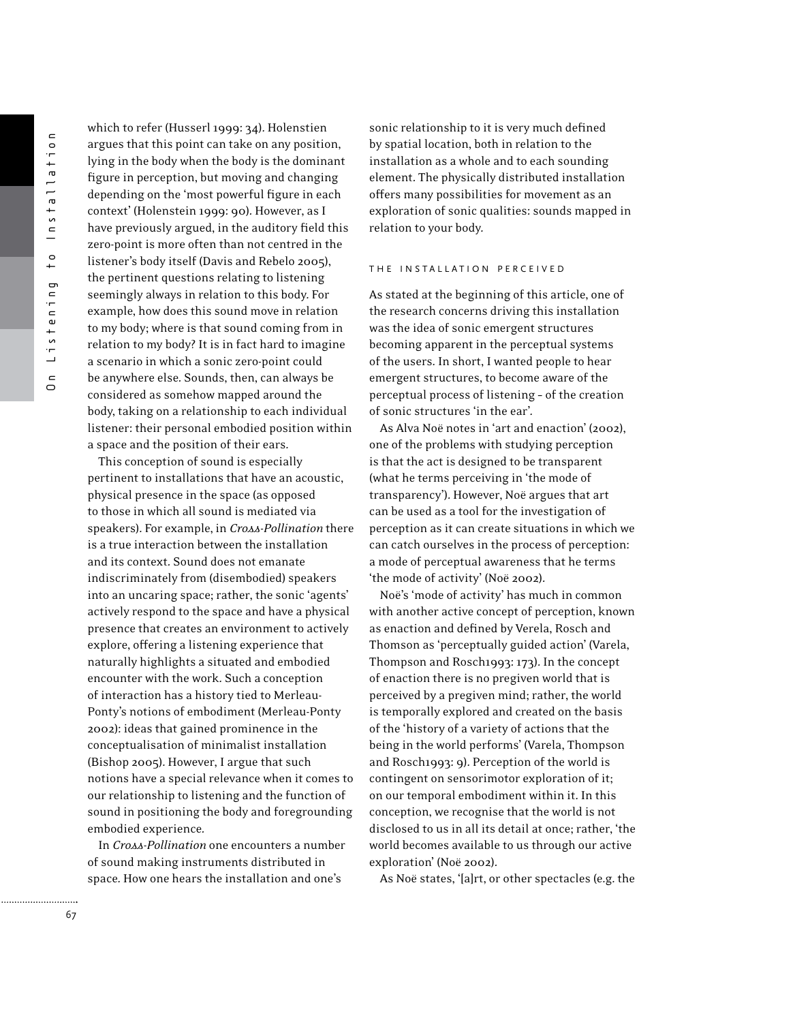which to refer (Husserl 1999: 34). Holenstien argues that this point can take on any position, lying in the body when the body is the dominant figure in perception, but moving and changing depending on the 'most powerful figure in each context' (Holenstein 1999: 90). However, as I have previously argued, in the auditory field this zero-point is more often than not centred in the listener's body itself (Davis and Rebelo 2005), the pertinent questions relating to listening seemingly always in relation to this body. For example, how does this sound move in relation to my body; where is that sound coming from in relation to my body? It is in fact hard to imagine a scenario in which a sonic zero-point could be anywhere else. Sounds, then, can always be considered as somehow mapped around the body, taking on a relationship to each individual listener: their personal embodied position within a space and the position of their ears.

This conception of sound is especially pertinent to installations that have an acoustic, physical presence in the space (as opposed to those in which all sound is mediated via speakers). For example, in *Cross-Pollination* there is a true interaction between the installation and its context. Sound does not emanate indiscriminately from (disembodied) speakers into an uncaring space; rather, the sonic 'agents' actively respond to the space and have a physical presence that creates an environment to actively explore, offering a listening experience that naturally highlights a situated and embodied encounter with the work. Such a conception of interaction has a history tied to Merleau-Ponty's notions of embodiment (Merleau-Ponty 2002): ideas that gained prominence in the conceptualisation of minimalist installation (Bishop 2005). However, I argue that such notions have a special relevance when it comes to our relationship to listening and the function of sound in positioning the body and foregrounding embodied experience.

In *Cross-Pollination* one encounters a number of sound making instruments distributed in space. How one hears the installation and one's

sonic relationship to it is very much defined by spatial location, both in relation to the installation as a whole and to each sounding element. The physically distributed installation offers many possibilities for movement as an exploration of sonic qualities: sounds mapped in relation to your body.

# THE INSTALLATION PERCEIVED

As stated at the beginning of this article, one of the research concerns driving this installation was the idea of sonic emergent structures becoming apparent in the perceptual systems of the users. In short, I wanted people to hear emergent structures, to become aware of the perceptual process of listening – of the creation of sonic structures 'in the ear'.

As Alva Noë notes in 'art and enaction' (2002), one of the problems with studying perception is that the act is designed to be transparent (what he terms perceiving in 'the mode of transparency'). However, Noë argues that art can be used as a tool for the investigation of perception as it can create situations in which we can catch ourselves in the process of perception: a mode of perceptual awareness that he terms 'the mode of activity' (Noë 2002).

Noë's 'mode of activity' has much in common with another active concept of perception, known as enaction and defined by Verela, Rosch and Thomson as 'perceptually guided action' (Varela, Thompson and Rosch1993: 173). In the concept of enaction there is no pregiven world that is perceived by a pregiven mind; rather, the world is temporally explored and created on the basis of the 'history of a variety of actions that the being in the world performs' (Varela, Thompson and Rosch1993: 9). Perception of the world is contingent on sensorimotor exploration of it; on our temporal embodiment within it. In this conception, we recognise that the world is not disclosed to us in all its detail at once; rather, 'the world becomes available to us through our active exploration' (Noë 2002).

As Noë states, '[a]rt, or other spectacles (e.g. the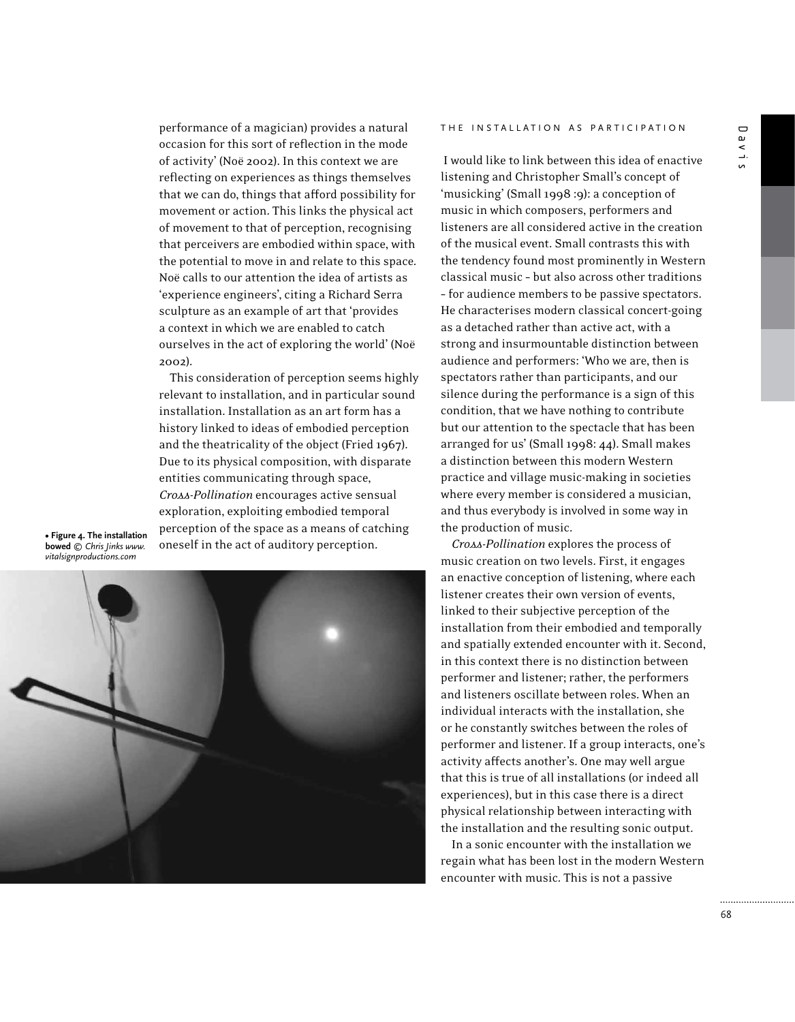performance of a magician) provides a natural occasion for this sort of reflection in the mode of activity' (Noë 2002). In this context we are reflecting on experiences as things themselves that we can do, things that afford possibility for movement or action. This links the physical act of movement to that of perception, recognising that perceivers are embodied within space, with the potential to move in and relate to this space. Noë calls to our attention the idea of artists as 'experience engineers', citing a Richard Serra sculpture as an example of art that 'provides a context in which we are enabled to catch ourselves in the act of exploring the world' (Noë 2002).

This consideration of perception seems highly relevant to installation, and in particular sound installation. Installation as an art form has a history linked to ideas of embodied perception and the theatricality of the object (Fried 1967). Due to its physical composition, with disparate entities communicating through space, *Cross-Pollination* encourages active sensual exploration, exploiting embodied temporal perception of the space as a means of catching oneself in the act of auditory perception.

**• Figure 4. The installation bowed** *© Chris Jinks www. vitalsignproductions.com*



## THE INSTALLATION AS PARTICIPATION

 I would like to link between this idea of enactive listening and Christopher Small's concept of 'musicking' (Small 1998 :9): a conception of music in which composers, performers and listeners are all considered active in the creation of the musical event. Small contrasts this with the tendency found most prominently in Western classical music – but also across other traditions – for audience members to be passive spectators. He characterises modern classical concert-going as a detached rather than active act, with a strong and insurmountable distinction between audience and performers: 'Who we are, then is spectators rather than participants, and our silence during the performance is a sign of this condition, that we have nothing to contribute but our attention to the spectacle that has been arranged for us' (Small 1998: 44). Small makes a distinction between this modern Western practice and village music-making in societies where every member is considered a musician, and thus everybody is involved in some way in the production of music.

*Cross-Pollination* explores the process of music creation on two levels. First, it engages an enactive conception of listening, where each listener creates their own version of events, linked to their subjective perception of the installation from their embodied and temporally and spatially extended encounter with it. Second, in this context there is no distinction between performer and listener; rather, the performers and listeners oscillate between roles. When an individual interacts with the installation, she or he constantly switches between the roles of performer and listener. If a group interacts, one's activity affects another's. One may well argue that this is true of all installations (or indeed all experiences), but in this case there is a direct physical relationship between interacting with the installation and the resulting sonic output.

In a sonic encounter with the installation we regain what has been lost in the modern Western encounter with music. This is not a passive